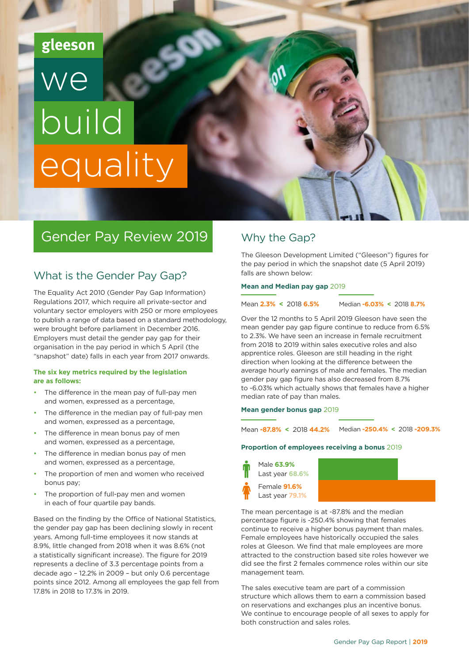# gleeson

# we build equality

# Gender Pay Review 2019

# What is the Gender Pay Gap?

The Equality Act 2010 (Gender Pay Gap Information) Regulations 2017, which require all private-sector and voluntary sector employers with 250 or more employees to publish a range of data based on a standard methodology, were brought before parliament in December 2016. Employers must detail the gender pay gap for their organisation in the pay period in which 5 April (the "snapshot" date) falls in each year from 2017 onwards.

## **The six key metrics required by the legislation are as follows:**

- The difference in the mean pay of full-pay men and women, expressed as a percentage,
- The difference in the median pay of full-pay men and women, expressed as a percentage,
- The difference in mean bonus pay of men and women, expressed as a percentage,
- The difference in median bonus pay of men and women, expressed as a percentage,
- The proportion of men and women who received bonus pay;
- The proportion of full-pay men and women in each of four quartile pay bands.

Based on the finding by the Office of National Statistics, the gender pay gap has been declining slowly in recent years. Among full-time employees it now stands at 8.9%, little changed from 2018 when it was 8.6% (not a statistically significant increase). The figure for 2019 represents a decline of 3.3 percentage points from a decade ago – 12.2% in 2009 – but only 0.6 percentage points since 2012. Among all employees the gap fell from 17.8% in 2018 to 17.3% in 2019.

# Why the Gap?

The Gleeson Development Limited ("Gleeson") figures for the pay period in which the snapshot date (5 April 2019) falls are shown below:

#### **Mean and Median pay gap** 2019

Mean **2.3% <** 2018 **6.5%** Median **-6.03% <** 2018 **8.7%**

Over the 12 months to 5 April 2019 Gleeson have seen the mean gender pay gap figure continue to reduce from 6.5% to 2.3%. We have seen an increase in female recruitment from 2018 to 2019 within sales executive roles and also apprentice roles. Gleeson are still heading in the right direction when looking at the difference between the average hourly earnings of male and females. The median gender pay gap figure has also decreased from 8.7% to -6.03% which actually shows that females have a higher median rate of pay than males.

#### **Mean gender bonus gap** 2019

Mean **-87.8% <** 2018 **44.2%** Median **-250.4% <** 2018 **-209.3%**

### **Proportion of employees receiving a bonus** 2019

Male **63.9%** Last year **68.6%** Female **91.6%** Last year **79.1%**



The mean percentage is at -87.8% and the median percentage figure is -250.4% showing that females continue to receive a higher bonus payment than males. Female employees have historically occupied the sales roles at Gleeson. We find that male employees are more attracted to the construction based site roles however we did see the first 2 females commence roles within our site management team.

The sales executive team are part of a commission structure which allows them to earn a commission based on reservations and exchanges plus an incentive bonus. We continue to encourage people of all sexes to apply for both construction and sales roles.